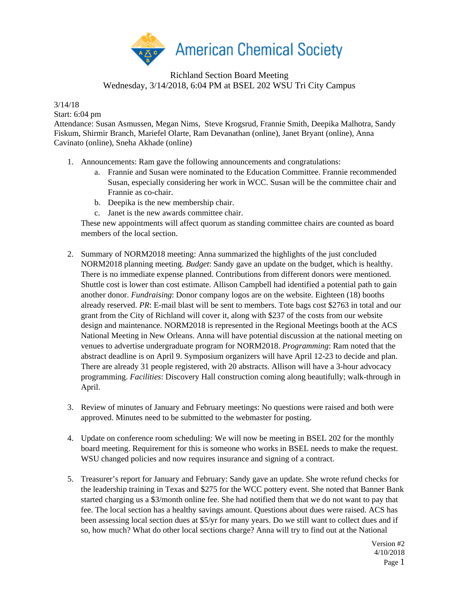

## Richland Section Board Meeting Wednesday, 3/14/2018, 6:04 PM at BSEL 202 WSU Tri City Campus

3/14/18

Start: 6:04 pm

Attendance: Susan Asmussen, Megan Nims, Steve Krogsrud, Frannie Smith, Deepika Malhotra, Sandy Fiskum, Shirmir Branch, Mariefel Olarte, Ram Devanathan (online), Janet Bryant (online), Anna Cavinato (online), Sneha Akhade (online)

- 1. Announcements: Ram gave the following announcements and congratulations:
	- a. Frannie and Susan were nominated to the Education Committee. Frannie recommended Susan, especially considering her work in WCC. Susan will be the committee chair and Frannie as co-chair.
	- b. Deepika is the new membership chair.
	- c. Janet is the new awards committee chair.

These new appointments will affect quorum as standing committee chairs are counted as board members of the local section.

- 2. Summary of NORM2018 meeting: Anna summarized the highlights of the just concluded NORM2018 planning meeting. *Budget*: Sandy gave an update on the budget, which is healthy. There is no immediate expense planned. Contributions from different donors were mentioned. Shuttle cost is lower than cost estimate. Allison Campbell had identified a potential path to gain another donor. *Fundraising*: Donor company logos are on the website. Eighteen (18) booths already reserved. *PR*: E-mail blast will be sent to members. Tote bags cost \$2763 in total and our grant from the City of Richland will cover it, along with \$237 of the costs from our website design and maintenance. NORM2018 is represented in the Regional Meetings booth at the ACS National Meeting in New Orleans. Anna will have potential discussion at the national meeting on venues to advertise undergraduate program for NORM2018. *Programming*: Ram noted that the abstract deadline is on April 9. Symposium organizers will have April 12-23 to decide and plan. There are already 31 people registered, with 20 abstracts. Allison will have a 3-hour advocacy programming. *Facilities*: Discovery Hall construction coming along beautifully; walk-through in April.
- 3. Review of minutes of January and February meetings: No questions were raised and both were approved. Minutes need to be submitted to the webmaster for posting.
- 4. Update on conference room scheduling: We will now be meeting in BSEL 202 for the monthly board meeting. Requirement for this is someone who works in BSEL needs to make the request. WSU changed policies and now requires insurance and signing of a contract.
- 5. Treasurer's report for January and February: Sandy gave an update. She wrote refund checks for the leadership training in Texas and \$275 for the WCC pottery event. She noted that Banner Bank started charging us a \$3/month online fee. She had notified them that we do not want to pay that fee. The local section has a healthy savings amount. Questions about dues were raised. ACS has been assessing local section dues at \$5/yr for many years. Do we still want to collect dues and if so, how much? What do other local sections charge? Anna will try to find out at the National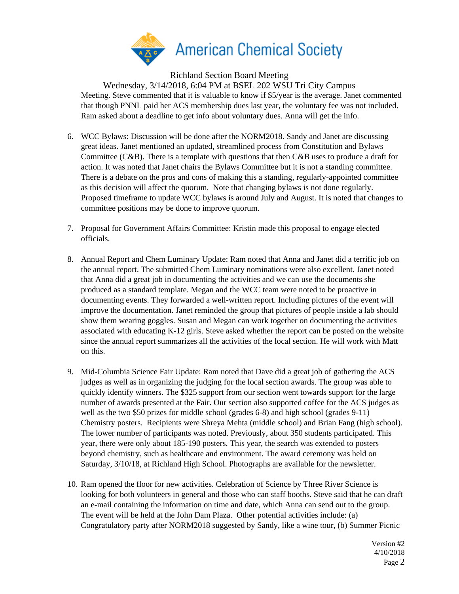

Richland Section Board Meeting

Wednesday, 3/14/2018, 6:04 PM at BSEL 202 WSU Tri City Campus Meeting. Steve commented that it is valuable to know if \$5/year is the average. Janet commented that though PNNL paid her ACS membership dues last year, the voluntary fee was not included. Ram asked about a deadline to get info about voluntary dues. Anna will get the info.

- 6. WCC Bylaws: Discussion will be done after the NORM2018. Sandy and Janet are discussing great ideas. Janet mentioned an updated, streamlined process from Constitution and Bylaws Committee (C&B). There is a template with questions that then C&B uses to produce a draft for action. It was noted that Janet chairs the Bylaws Committee but it is not a standing committee. There is a debate on the pros and cons of making this a standing, regularly-appointed committee as this decision will affect the quorum. Note that changing bylaws is not done regularly. Proposed timeframe to update WCC bylaws is around July and August. It is noted that changes to committee positions may be done to improve quorum.
- 7. Proposal for Government Affairs Committee: Kristin made this proposal to engage elected officials.
- 8. Annual Report and Chem Luminary Update: Ram noted that Anna and Janet did a terrific job on the annual report. The submitted Chem Luminary nominations were also excellent. Janet noted that Anna did a great job in documenting the activities and we can use the documents she produced as a standard template. Megan and the WCC team were noted to be proactive in documenting events. They forwarded a well-written report. Including pictures of the event will improve the documentation. Janet reminded the group that pictures of people inside a lab should show them wearing goggles. Susan and Megan can work together on documenting the activities associated with educating K-12 girls. Steve asked whether the report can be posted on the website since the annual report summarizes all the activities of the local section. He will work with Matt on this.
- 9. Mid-Columbia Science Fair Update: Ram noted that Dave did a great job of gathering the ACS judges as well as in organizing the judging for the local section awards. The group was able to quickly identify winners. The \$325 support from our section went towards support for the large number of awards presented at the Fair. Our section also supported coffee for the ACS judges as well as the two \$50 prizes for middle school (grades 6-8) and high school (grades 9-11) Chemistry posters. Recipients were Shreya Mehta (middle school) and Brian Fang (high school). The lower number of participants was noted. Previously, about 350 students participated. This year, there were only about 185-190 posters. This year, the search was extended to posters beyond chemistry, such as healthcare and environment. The award ceremony was held on Saturday, 3/10/18, at Richland High School. Photographs are available for the newsletter.
- 10. Ram opened the floor for new activities. Celebration of Science by Three River Science is looking for both volunteers in general and those who can staff booths. Steve said that he can draft an e-mail containing the information on time and date, which Anna can send out to the group. The event will be held at the John Dam Plaza. Other potential activities include: (a) Congratulatory party after NORM2018 suggested by Sandy, like a wine tour, (b) Summer Picnic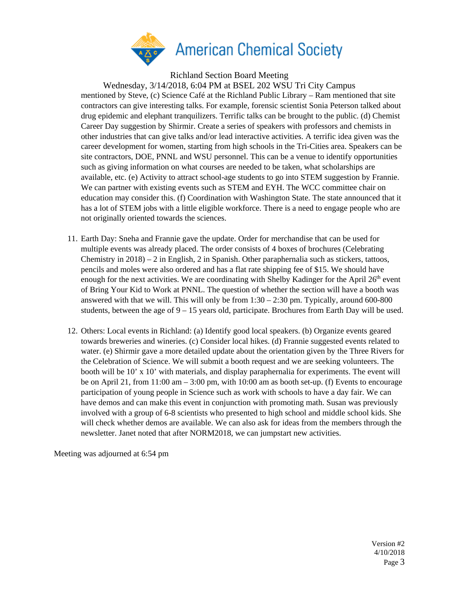

Richland Section Board Meeting

Wednesday, 3/14/2018, 6:04 PM at BSEL 202 WSU Tri City Campus mentioned by Steve, (c) Science Café at the Richland Public Library – Ram mentioned that site contractors can give interesting talks. For example, forensic scientist Sonia Peterson talked about drug epidemic and elephant tranquilizers. Terrific talks can be brought to the public. (d) Chemist Career Day suggestion by Shirmir. Create a series of speakers with professors and chemists in other industries that can give talks and/or lead interactive activities. A terrific idea given was the career development for women, starting from high schools in the Tri-Cities area. Speakers can be site contractors, DOE, PNNL and WSU personnel. This can be a venue to identify opportunities such as giving information on what courses are needed to be taken, what scholarships are available, etc. (e) Activity to attract school-age students to go into STEM suggestion by Frannie. We can partner with existing events such as STEM and EYH. The WCC committee chair on education may consider this. (f) Coordination with Washington State. The state announced that it has a lot of STEM jobs with a little eligible workforce. There is a need to engage people who are not originally oriented towards the sciences.

- 11. Earth Day: Sneha and Frannie gave the update. Order for merchandise that can be used for multiple events was already placed. The order consists of 4 boxes of brochures (Celebrating Chemistry in 2018) – 2 in English, 2 in Spanish. Other paraphernalia such as stickers, tattoos, pencils and moles were also ordered and has a flat rate shipping fee of \$15. We should have enough for the next activities. We are coordinating with Shelby Kadinger for the April  $26<sup>th</sup>$  event of Bring Your Kid to Work at PNNL. The question of whether the section will have a booth was answered with that we will. This will only be from  $1:30 - 2:30$  pm. Typically, around 600-800 students, between the age of 9 – 15 years old, participate. Brochures from Earth Day will be used.
- 12. Others: Local events in Richland: (a) Identify good local speakers. (b) Organize events geared towards breweries and wineries. (c) Consider local hikes. (d) Frannie suggested events related to water. (e) Shirmir gave a more detailed update about the orientation given by the Three Rivers for the Celebration of Science. We will submit a booth request and we are seeking volunteers. The booth will be 10' x 10' with materials, and display paraphernalia for experiments. The event will be on April 21, from 11:00 am – 3:00 pm, with 10:00 am as booth set-up. (f) Events to encourage participation of young people in Science such as work with schools to have a day fair. We can have demos and can make this event in conjunction with promoting math. Susan was previously involved with a group of 6-8 scientists who presented to high school and middle school kids. She will check whether demos are available. We can also ask for ideas from the members through the newsletter. Janet noted that after NORM2018, we can jumpstart new activities.

Meeting was adjourned at 6:54 pm